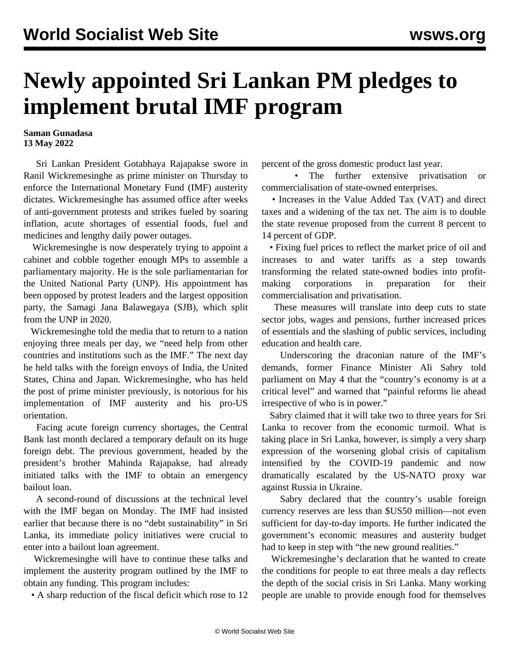## **Newly appointed Sri Lankan PM pledges to implement brutal IMF program**

**Saman Gunadasa 13 May 2022**

 Sri Lankan President Gotabhaya Rajapakse swore in Ranil Wickremesinghe as prime minister on Thursday to enforce the International Monetary Fund (IMF) austerity dictates. Wickremesinghe has assumed office after weeks of anti-government protests and strikes fueled by soaring inflation, acute shortages of essential foods, fuel and medicines and lengthy daily power outages.

 Wickremesinghe is now desperately trying to appoint a cabinet and cobble together enough MPs to assemble a parliamentary majority. He is the sole parliamentarian for the United National Party (UNP). His appointment has been opposed by protest leaders and the largest opposition party, the Samagi Jana Balawegaya (SJB), which split from the UNP in 2020.

 Wickremesinghe told the media that to return to a nation enjoying three meals per day, we "need help from other countries and institutions such as the IMF." The next day he held talks with the foreign envoys of India, the United States, China and Japan. Wickremesinghe, who has held the post of prime minister previously, is notorious for his implementation of IMF austerity and his pro-US orientation.

 Facing acute foreign currency shortages, the Central Bank last month declared a temporary default on its huge foreign debt. The previous government, headed by the president's brother Mahinda Rajapakse, had already initiated talks with the IMF to obtain an emergency bailout loan.

 A second-round of discussions at the technical level with the IMF began on Monday. The IMF had insisted earlier that because there is no "debt sustainability" in Sri Lanka, its immediate policy initiatives were crucial to enter into a bailout loan agreement.

 Wickremesinghe will have to continue these talks and implement the austerity program outlined by the IMF to obtain any funding. This program includes:

• A sharp reduction of the fiscal deficit which rose to 12

percent of the gross domestic product last year.

The further extensive privatisation or commercialisation of state-owned enterprises.

 • Increases in the Value Added Tax (VAT) and direct taxes and a widening of the tax net. The aim is to double the state revenue proposed from the current 8 percent to 14 percent of GDP.

 • Fixing fuel prices to reflect the market price of oil and increases to and water tariffs as a step towards transforming the related state-owned bodies into profitmaking corporations in preparation for their commercialisation and privatisation.

 These measures will translate into deep cuts to state sector jobs, wages and pensions, further increased prices of essentials and the slashing of public services, including education and health care.

 Underscoring the draconian nature of the IMF's demands, former Finance Minister Ali Sabry told parliament on May 4 that the "country's economy is at a critical level" and warned that "painful reforms lie ahead irrespective of who is in power."

 Sabry claimed that it will take two to three years for Sri Lanka to recover from the economic turmoil. What is taking place in Sri Lanka, however, is simply a very sharp expression of the worsening global crisis of capitalism intensified by the COVID-19 pandemic and now dramatically escalated by the US-NATO proxy war against Russia in Ukraine.

 Sabry declared that the country's usable foreign currency reserves are less than \$US50 million—not even sufficient for day-to-day imports. He further indicated the government's economic measures and austerity budget had to keep in step with "the new ground realities."

 Wickremesinghe's declaration that he wanted to create the conditions for people to eat three meals a day reflects the depth of the social crisis in Sri Lanka. Many working people are unable to provide enough food for themselves